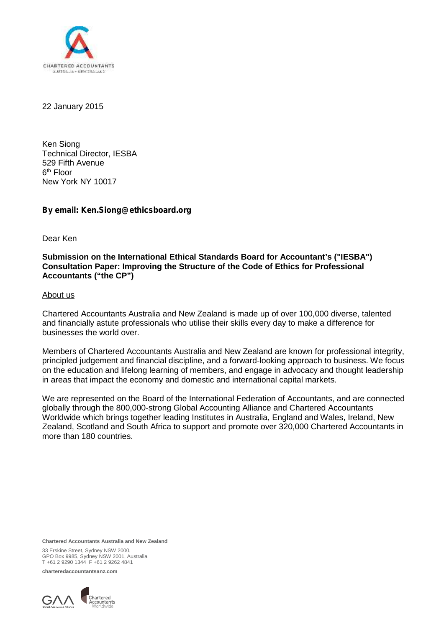

22 January 2015

Ken Siong Technical Director, IESBA 529 Fifth Avenue 6<sup>th</sup> Floor New York NY 10017

### *By email: Ken.Siong@ethicsboard.org*

Dear Ken

**Submission on the International Ethical Standards Board for Accountant's ("IESBA") Consultation Paper: Improving the Structure of the Code of Ethics for Professional Accountants ("the CP")**

#### About us

Chartered Accountants Australia and New Zealand is made up of over 100,000 diverse, talented and financially astute professionals who utilise their skills every day to make a difference for businesses the world over.

Members of Chartered Accountants Australia and New Zealand are known for professional integrity, principled judgement and financial discipline, and a forward-looking approach to business. We focus on the education and lifelong learning of members, and engage in advocacy and thought leadership in areas that impact the economy and domestic and international capital markets.

We are represented on the Board of the International Federation of Accountants, and are connected globally through the 800,000-strong Global Accounting Alliance and Chartered Accountants Worldwide which brings together leading Institutes in Australia, England and Wales, Ireland, New Zealand, Scotland and South Africa to support and promote over 320,000 Chartered Accountants in more than 180 countries.

**Chartered Accountants Australia and New Zealand**

33 Erskine Street, Sydney NSW 2000, GPO Box 9985, Sydney NSW 2001, Australia T +61 2 9290 1344 F +61 2 9262 4841

**charteredaccountantsanz.com**

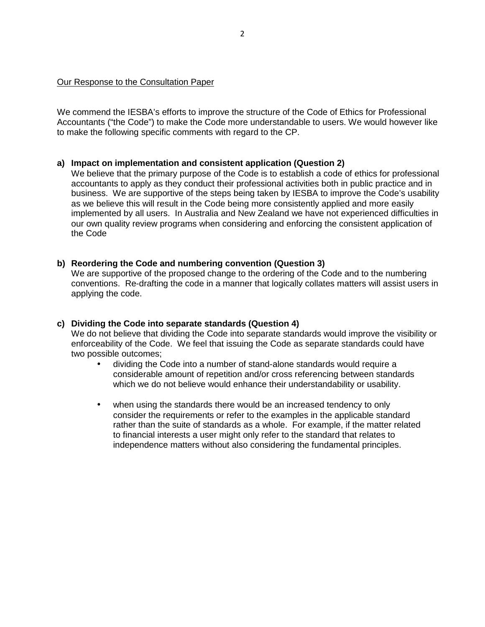#### Our Response to the Consultation Paper

We commend the IESBA's efforts to improve the structure of the Code of Ethics for Professional Accountants ("the Code") to make the Code more understandable to users. We would however like to make the following specific comments with regard to the CP.

### **a) Impact on implementation and consistent application (Question 2)**

We believe that the primary purpose of the Code is to establish a code of ethics for professional accountants to apply as they conduct their professional activities both in public practice and in business. We are supportive of the steps being taken by IESBA to improve the Code's usability as we believe this will result in the Code being more consistently applied and more easily implemented by all users. In Australia and New Zealand we have not experienced difficulties in our own quality review programs when considering and enforcing the consistent application of the Code

### **b) Reordering the Code and numbering convention (Question 3)**

We are supportive of the proposed change to the ordering of the Code and to the numbering conventions. Re-drafting the code in a manner that logically collates matters will assist users in applying the code.

#### **c) Dividing the Code into separate standards (Question 4)**

We do not believe that dividing the Code into separate standards would improve the visibility or enforceability of the Code. We feel that issuing the Code as separate standards could have two possible outcomes;

- dividing the Code into a number of stand-alone standards would require a considerable amount of repetition and/or cross referencing between standards which we do not believe would enhance their understandability or usability.
- when using the standards there would be an increased tendency to only consider the requirements or refer to the examples in the applicable standard rather than the suite of standards as a whole. For example, if the matter related to financial interests a user might only refer to the standard that relates to independence matters without also considering the fundamental principles.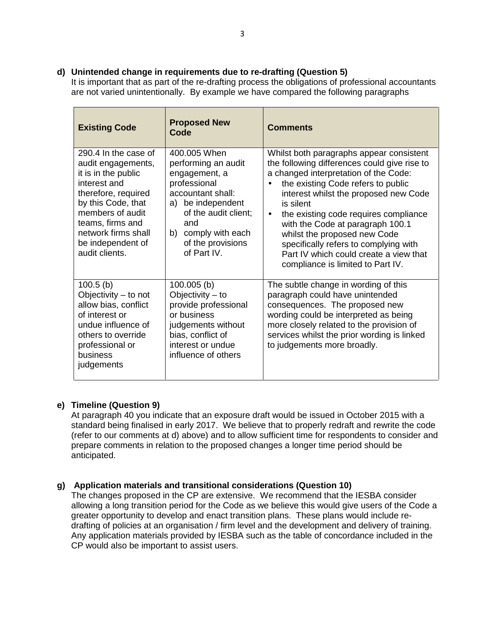# **d) Unintended change in requirements due to re-drafting (Question 5)**

It is important that as part of the re-drafting process the obligations of professional accountants are not varied unintentionally. By example we have compared the following paragraphs

| <b>Existing Code</b>                                                                                                                                                                                                                 | <b>Proposed New</b><br>Code                                                                                                                                                                              | <b>Comments</b>                                                                                                                                                                                                                                                                                                                                                                                                                                                                              |
|--------------------------------------------------------------------------------------------------------------------------------------------------------------------------------------------------------------------------------------|----------------------------------------------------------------------------------------------------------------------------------------------------------------------------------------------------------|----------------------------------------------------------------------------------------------------------------------------------------------------------------------------------------------------------------------------------------------------------------------------------------------------------------------------------------------------------------------------------------------------------------------------------------------------------------------------------------------|
| 290.4 In the case of<br>audit engagements,<br>it is in the public<br>interest and<br>therefore, required<br>by this Code, that<br>members of audit<br>teams, firms and<br>network firms shall<br>be independent of<br>audit clients. | 400,005 When<br>performing an audit<br>engagement, a<br>professional<br>accountant shall:<br>a) be independent<br>of the audit client;<br>and<br>b) comply with each<br>of the provisions<br>of Part IV. | Whilst both paragraphs appear consistent<br>the following differences could give rise to<br>a changed interpretation of the Code:<br>the existing Code refers to public<br>$\bullet$<br>interest whilst the proposed new Code<br>is silent<br>the existing code requires compliance<br>$\bullet$<br>with the Code at paragraph 100.1<br>whilst the proposed new Code<br>specifically refers to complying with<br>Part IV which could create a view that<br>compliance is limited to Part IV. |
| $100.5$ (b)<br>Objectivity $-$ to not<br>allow bias, conflict<br>of interest or<br>undue influence of<br>others to override<br>professional or<br>business<br>judgements                                                             | $100.005$ (b)<br>Objectivity $-$ to<br>provide professional<br>or business<br>judgements without<br>bias, conflict of<br>interest or undue<br>influence of others                                        | The subtle change in wording of this<br>paragraph could have unintended<br>consequences. The proposed new<br>wording could be interpreted as being<br>more closely related to the provision of<br>services whilst the prior wording is linked<br>to judgements more broadly.                                                                                                                                                                                                                 |

# **e) Timeline (Question 9)**

At paragraph 40 you indicate that an exposure draft would be issued in October 2015 with a standard being finalised in early 2017. We believe that to properly redraft and rewrite the code (refer to our comments at d) above) and to allow sufficient time for respondents to consider and prepare comments in relation to the proposed changes a longer time period should be anticipated.

# **g) Application materials and transitional considerations (Question 10)**

The changes proposed in the CP are extensive. We recommend that the IESBA consider allowing a long transition period for the Code as we believe this would give users of the Code a greater opportunity to develop and enact transition plans. These plans would include re drafting of policies at an organisation / firm level and the development and delivery of training. Any application materials provided by IESBA such as the table of concordance included in the CP would also be important to assist users.